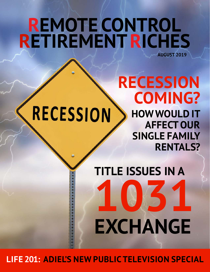## **REMOTE CONTROL RETIREMENTRICHES AUGUST 2019**

# **RECESSION**

**COMING? HOWWOULD IT AFFECT OUR SINGLE FAMILY RENTALS?**

**RECESSION**

**TITLE ISSUES IN A 1031 EXCHANGE**

**LIFE 201: ADIEL'S NEW PUBLIC TELEVISION SPECIAL**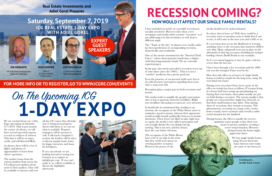**JOE MERANTE**

VP of Business Development National Credit Care

CPA at An Accountancy **Corporation** 

**JOSH COOPER**

**JUSTIN FARIAN** CISP® Senior Retail Sales Representative

### **Saturday, September 7, 2019 ICG REAL ESTATE 1-DAY EXPO WITH ADIEL GOREL**





**Real Estate Investments and Adiel Gorel Presents**

**EXPERT**

**GUEST SPEAKERS**

### **FOR MORE INFO OR TO REGISTER,GO TO WWW.ICGRE.COM/EVENTS**

We are excited about our 1-Day Expo upcoming on Saturday 9/7/2019. That is just around the corner. As always, we will have several top notch experts to teach us subjects of interest. This time it will be on taxes, credit, and self-directed IRAs.

As always, there will be a lot of Q&A, and plenty of opportunities to learn from others' questions.

# **1-DAY EXPO** On The Upcoming ICG

The market teams from the various markets from across the US will present updates about each of their markets. They will be available to interact with you all day. Of course they all make sure to bring great property sheets with them so we can see what is available. Property managers will be present as well. I will teach a beginner's section, the lenders will be there to discuss regular loans, loans for bigger investors, and loans for foreigners.

If you can attend, we are looking forward to seeing you. Contact us to register at info@icgre.com. If you can't make it, we will be available to discuss the highlights afterwards.



I have included an article on a possible recession in our July newsletter. However since then, every newspaper and media outlet screams "recession" so I am addressing it in this newsletter as well, from a different angle.

The "Topic of the day" in almost every media outlet has been predictions of an impending recession, domestically and worldwide.

One of the metrics mentioned is the "Inverted Yield Curve", where short-maturity bonds have a higher yield than long-maturity bonds. We are currently experiencing it.

In the past, this metric preceded a recession seven out of nine times (since the 1960's). Thus it is not a "surefire" predictor, but a pretty good one.

Even the presence of an inverted yield curve has to do with investors' perception regarding short term risk vs. long term risk.

would actually benefit (politically) from an economic downturn. These forces are likely in play right now, as, again, the media's voice affects perception and can actually dictate the way things end up turning. This is not new, and has always been the case before elections.

The occupants of the White House have a bit of an edge in the sense that they wield more power in creating positive scenarios. However the power of the

media should not be underestimated.

- So where does it leave us? Well, there could be a recession (most economists seem to think that if one occurs, it will come in the next year and a half or so).
- If a recession does occur, the likelihood of it being anything closer to the recession that started in 2008 is very slim. Many safeguards were put in place in the aftermath of that big recession, including far stringer lending criteria (Dodd Frank as one example).

Perception plays a major part in both recessions and booms. The media tends to amplify the people's perception since it has to generate attractive headlines. Right now headlines discussing recession are very attractive. It should also be mentioned that, leading to an election, the occupants of the White House strive to maintain a good economy, whereas their opponents During every recession I have been a part of, the effect on rentals has been as follows: If tenants living in a house had been saving up and planning on buying their own home, those plans usually are put on hold during a recession. The reason usually is that people are concerned they might lose their job, or that their small business may falter. Thus during times of recessions, they remain as tenants. This phenomenon, occurring on a large scale, creates better rentals, lower vacancies and overall a stable rental situation for the landlord.

So if a recession happens, it may be quite a bit less severe than the last one.

I have been through a few recessions and the 2008 one was the strongest I have seen by far.

How does this affect us as buyers of single family homes to hold as rentals for the long term, using 30 year fixed rate loans?

During booms, the effect is usually the reverse, optimism causes people to buy their own home in greater numbers, creating a worse rental situation. However during booms the home might appreciate faster.

> We buy single family homes using 30-year fixed rate loans. Interest rates today are some of the lowest in

## **RECESSION COMING? HOWWOULD ITAFFECT OUR SINGLE FAMILY RENTALS?**

*Continued… inside back cover*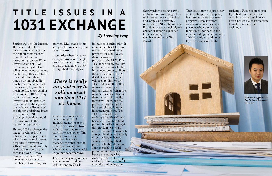

*Weiming Peng is a 1031 Tax Deferred Exchange Specialist*



# **T I T L E I S S U E S I N A 1031 EXCHANGE**

*By Weiming Peng*

Section 1031 of the Internal Revenue Code allows investors to defer taxes on the capital gains realized upon the sale of an investment property. When investors think of 1031 exchanges, they think of selling investment real estate and buying other investment real estate. For others, it may be the number. How much can I potentially sell my property for, and how much do I need to spend in order to defer 100% of my tax liability. Although investors should definitely be attentive to these points, many fail to realize one of the biggest underlying issues with doing a 1031 exchange: how title should be transferred to the replacement property.

For any 1031 exchange, the tax payer who sells the relinquished property must take title to the replacement property. If tax payer #1 sells an investment property as the sole owner on title, then tax payer #1 may purchase under his/her name, under a single member (or two if they are

married) LLC that is set up as a pass through entity, or a revocable trust.

Issues arise when there are multiple owners of a single property. Investors may have chosen to take title to their relinquished property as

tenants in common (TIC), under a single LLC (multiple members in the LLC), or a revocable trust with trustees that are not married to each other. This is not an issue if the members choose to exchange together, but the complications become evident when they may wish to go their separate ways.

There is really no good way to split an asset and do a 1031 exchange. This is

because of a technicality. If a multi member LLC has owned and rented out a property for many years, then the owner of the property is the LLC. The LLC is eligible to do a 1031 exchange when it sells the investment property. Should the members of the LLC decide to part ways, they will need to dissolve the LLC and take title in their names or respective pass through entities. When each member has taken title in their names individually, they have not owned the property long enough to have established it as an investment property. The LLC qualifies for an exchange, but they do not because of the short hold period. In order to mitigate this problem, we would advise the client to establish a longer hold period, ideally a year or longer, before selling the relinquished property. If they do not or cannot establish a hold period of at least a year before executing a 1031 exchange, this will a drop and swap: dropping out of

an entity and taking title

shortly prior to doing a 1031 exchange and swapping into a replacement property. A drop and swap is an aggressive move for a 1031 exchange, and if audited, have a much higher chance of being disqualified for an exchange by the California Franchise Tax Board.

Title issues may not just occur on the relinquished property, but also on the replacement property. Many investors choose to include business partners when purchasing replacement properties and thereby adding them onto title. This may add an additional layer of complexity to the

exchange. Please contact your Qualified Intermediary and consult with them on how to better proceed with transaction to make it a successful exchange.

*There is really no good way to split an asset and do a 1031 exchange.*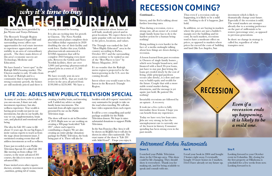This section has been provided by Jan Wynns and Tonya Debnam.

The Research Triangle Region (Raleigh-Durham-Chapel Hill and surrounding towns) offers rare opportunities for real estate investors to experience appreciation and stability in an area of extraordinary growth. The three main drivers of this area's economic success are Technology, Medicine and Education.

We have found a "sweet spot" in the Raleigh MSA housing market. The Clayton market is only 18 miles from the heart of Raleigh and is a community that is experiencing strong economic growth, the homes are still modestly priced and there is

a strong demand for housing.

It is also an exciting time for growth in Clayton. The Novo Nordisk pharmaceutical plant completes their two billion dollar expansion in 2020 doubling the size of their facility and work force. Earlier this year, Grifols pharmaceuticals announced a \$210M expansion that will be complete 2022 bringing even more jobs. Between the Grifols and Novo Nordisk facilities, there are over 3,000 (and growing) pharmaceuticalrelated jobs in a town of 21,500 people!!

We have recently sent six new properties to ICG, that are ready for review in the area all priced from \$199,900 to \$239,900. We have a

great contractor whose homes are well built, modestly priced and in great locations. We expect them to be quite popular with our investors due to the prices, locations, and values.

The Triangle was ranked the 2nd "Most Highly Educated" area in the country according to Forbes, October 2017 and the surrounding areas continue to be ranked as one of the "Best Places to Live" by Money Magazine, 2018.

It's no wonder that the Raleigh metro region is projected to be the fastest-growing in the U.S. over the coming decade.

Invest where you would want to live. Invest in the Research Triangle Region.

## RALEIGH-DURHAM *why it's time to buy*

As many of you know, when I talk to you one-on-one, I share not only investment experience, but also wellness experience. True wealth is having great results not just in our investments, but also in our health, the way we eat, supplementation, brain care, and physical and emotional wellbeing.

The idea for Life 201 came to life about 15 years ago. In our big Expos, I invite various experts to teach us from the stage about investment issues. I envisioned creating events that will address investments as well as wellness.

I have just recorded a new Public Television Special. It's called Life 201 (like moving on from college 101 courses, to the more advanced 201 courses, the idea is to move to a more advanced life).

I have invited seven other experts: doctors, scientist, experts in movement , nutrition, getting rid of toxins,

creating a healthy brain, and investing well. I added my advice on single family home investments. The materials from all eight experts were presented by me on the Public Television stage.

The show will start to air in December of 2019. Right now we are working on creating a 300-page book titled "Life 201", where each expert is contributing a chapter. We are also creating an entire pledge (donation) package for Public Television, the book being part of it. There will also be

booklets with all 8 experts' material for easy summaries for people to take on the road when traveling. We will also have video segments from each expert.

It will be a very compelling and useful package available for the Public Television donors. We hope it raises substantial donations to support Public Television.

In the San Francisco Bay Area it will be shown on KQED, but it will also be shown in other cities nationwide. The exact name of the show is "Life 201

history, and the Fed is talking about further lowering rates.

Thus during a recession, even a strong one, all an owner of a rental single family home has to do is the hardest action for a human being: nothing!

Doing nothing is even harder in the face of a media onslaught talking about how things are down during a recession.

A lesson learned from past recessions is: Owners of single family homes ,, which were bought brand-new, and financed with a fixed 30-year loans, just have to stay put. Just letting the loans get eroded slowly by the cost of living, while principal paydown occurs (also slowly), is a slow and sure way to build equity and wealth for the future. Couple that with a more stable rental market during downturns, and the message is yet again: just hold. Be patient! Do nothing!

Invariably recessions are followed by an upturn . A recovery.

It took me a few cycles to fully internalize these lessons. I hope you can benefit from my experience.

Today we have very low loan rates. Jobs are very strong, in fact the unemployment rate is currently one of the lowest in history. Consumer spending has been strong even in the past month.

### with Adiel Gorel". I hope you enjoy it.<br>Retirement Riches Testimonials

Thus even if a recession ends up happening, it is likely to be a mild one. Nothing to do if it happens. Just

hold.

In addition, we are buying in markets where the prices are just a builder's margin over the building and lot costs. In such markets, recessions tend to have a moderate effect on prices, as opposed to markets where prices far exceed the costs of building and land (like Los Angeles, San



investment which is likely to dramatically change your future. Especially if the recession is mild. The rental markets are stronger already due to a seeming preference on the part of millennials to be renters (percentage wise), as opposed to previous generations.

In short: no change in strategy is called for, regardless of what transpires next.



### **LIFE 201: ADIEL'S NEW PUBLIC TELEVISION SPECIAL**

#### **Dawn S.**

I watched your Public Television show in the Chicago area. This show could be life changing. They should show it everywhere. Thank you for making nit, and for being available to speak and consult with me.

#### **Ron R.**

I read your book in 2004 and bought 2 homes right away. I eventually bought 10 more homes in 2 markets. I feel I have already set my future up.



#### **Sira P.**

Looking forward to your October event in Columbia. My closing for the first property at Oklahoma is scheduled for a few weeks from now. Looking forward to it.

#### *Continued…*

*Even if a recession ends up happening, it is likely to be a mild one.*